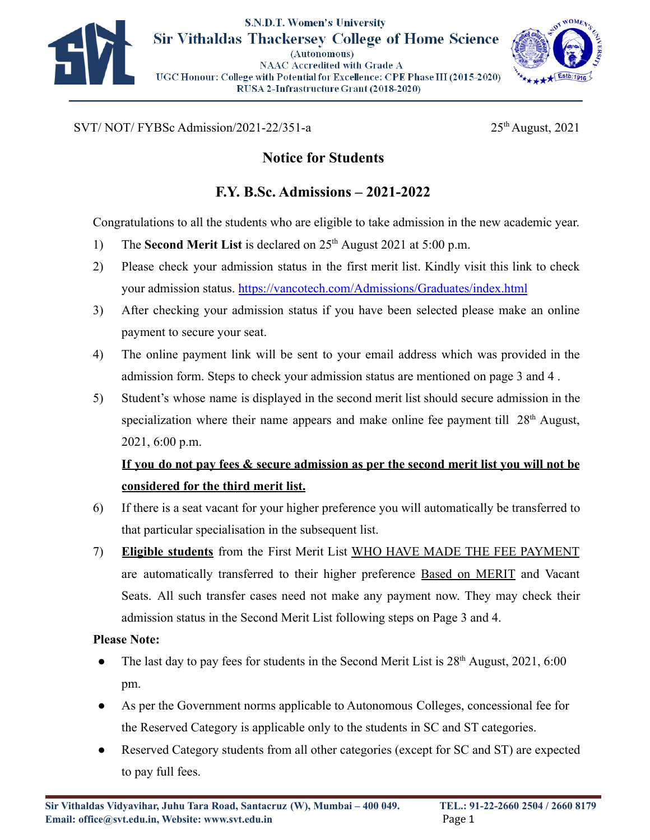



 $SVT/ NOT/ FYBSc$  Admission/2021-22/351-a  $25<sup>th</sup>$  August, 2021

## **Notice for Students**

## **F.Y. B.Sc. Admissions – 2021-2022**

Congratulations to all the students who are eligible to take admission in the new academic year.

- 1) The **Second Merit List** is declared on 25th August 2021 at 5:00 p.m.
- 2) Please check your admission status in the first merit list. Kindly visit this link to check your admission status. <https://vancotech.com/Admissions/Graduates/index.html>
- 3) After checking your admission status if you have been selected please make an online payment to secure your seat.
- 4) The online payment link will be sent to your email address which was provided in the admission form. Steps to check your admission status are mentioned on page 3 and 4 .
- 5) Student's whose name is displayed in the second merit list should secure admission in the specialization where their name appears and make online fee payment till  $28<sup>th</sup>$  August, 2021, 6:00 p.m.

# **If you do not pay fees & secure admission as per the second merit list you will not be considered for the third merit list.**

- 6) If there is a seat vacant for your higher preference you will automatically be transferred to that particular specialisation in the subsequent list.
- 7) **Eligible students** from the First Merit List WHO HAVE MADE THE FEE PAYMENT are automatically transferred to their higher preference Based on MERIT and Vacant Seats. All such transfer cases need not make any payment now. They may check their admission status in the Second Merit List following steps on Page 3 and 4.

#### **Please Note:**

- The last day to pay fees for students in the Second Merit List is  $28<sup>th</sup>$  August,  $2021, 6:00$ pm.
- As per the Government norms applicable to Autonomous Colleges, concessional fee for the Reserved Category is applicable only to the students in SC and ST categories.
- Reserved Category students from all other categories (except for SC and ST) are expected to pay full fees.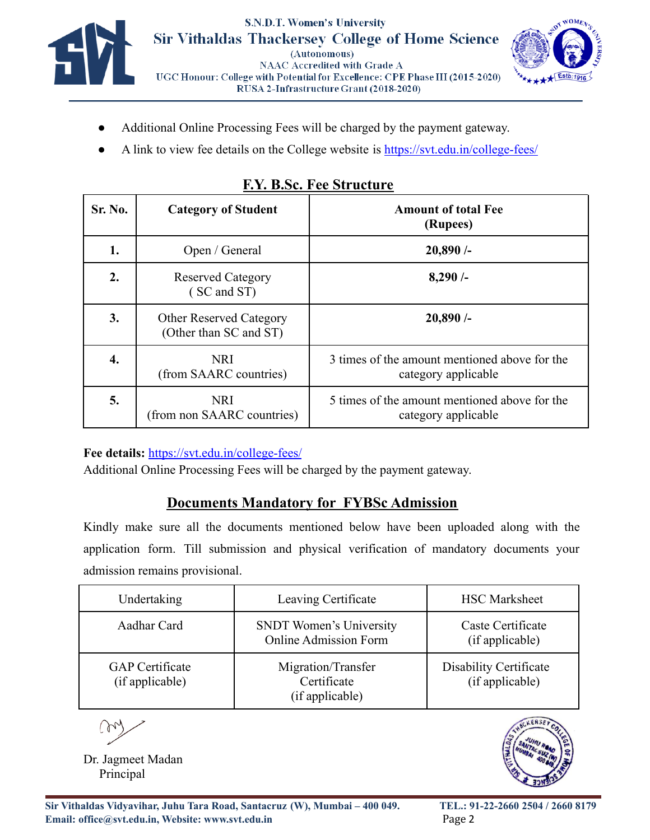



- Additional Online Processing Fees will be charged by the payment gateway.
- A link to view fee details on the College website is <https://svt.edu.in/college-fees/>

| Sr. No. | <b>Category of Student</b>                               | <b>Amount of total Fee</b><br>(Rupees)                               |  |
|---------|----------------------------------------------------------|----------------------------------------------------------------------|--|
| 1.      | Open / General                                           | 20,890/                                                              |  |
| 2.      | <b>Reserved Category</b><br>(SC and ST)                  | 8,290/                                                               |  |
| 3.      | <b>Other Reserved Category</b><br>(Other than SC and ST) | 20,890/                                                              |  |
| 4.      | <b>NRI</b><br>(from SAARC countries)                     | 3 times of the amount mentioned above for the<br>category applicable |  |
| 5.      | <b>NRI</b><br>(from non SAARC countries)                 | 5 times of the amount mentioned above for the<br>category applicable |  |

#### **F.Y. B.Sc. Fee Structure**

**Fee details:** <https://svt.edu.in/college-fees/>

Additional Online Processing Fees will be charged by the payment gateway.

### **Documents Mandatory for FYBSc Admission**

Kindly make sure all the documents mentioned below have been uploaded along with the application form. Till submission and physical verification of mandatory documents your admission remains provisional.

| Undertaking                               | Leaving Certificate                                            | <b>HSC</b> Marksheet                      |
|-------------------------------------------|----------------------------------------------------------------|-------------------------------------------|
| Aadhar Card                               | <b>SNDT</b> Women's University<br><b>Online Admission Form</b> | Caste Certificate<br>(if applicable)      |
| <b>GAP</b> Certificate<br>(if applicable) | Migration/Transfer<br>Certificate<br>(if applicable)           | Disability Certificate<br>(if applicable) |

m

Dr. Jagmeet Madan Principal

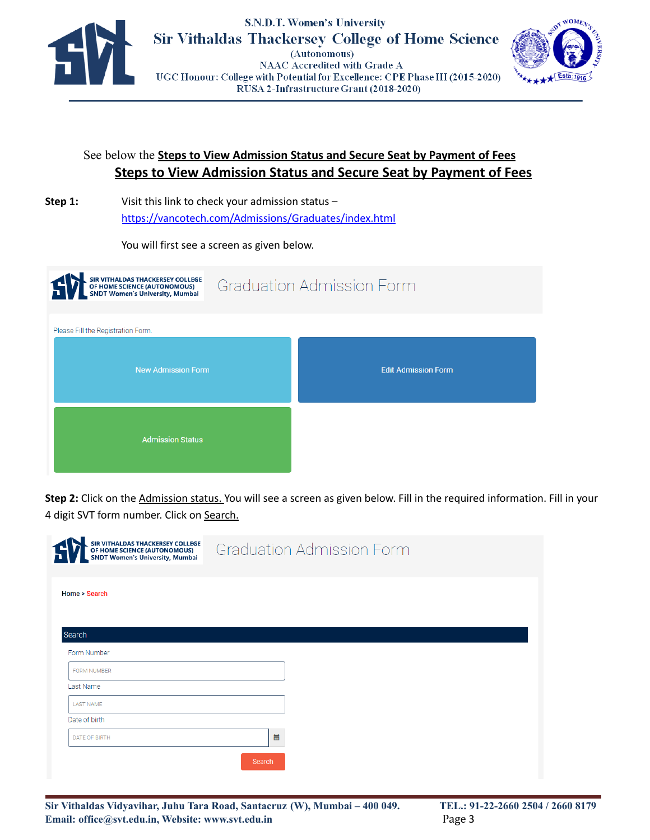



#### See below the **Steps to View Admission Status and Secure Seat by Payment of Fees Steps to View Admission Status and Secure Seat by Payment of Fees**

**Step 1:** Visit this link to check your admission status – <https://vancotech.com/Admissions/Graduates/index.html>

You will first see a screen as given below.

| SIR VITHALDAS THACKERSEY COLLEGE<br>OF HOME SCIENCE (AUTONOMOUS)<br>SNDT Women's University, Mumbai | <b>Graduation Admission Form</b> |                            |  |  |
|-----------------------------------------------------------------------------------------------------|----------------------------------|----------------------------|--|--|
| Please Fill the Registration Form.                                                                  |                                  |                            |  |  |
| <b>New Admission Form</b>                                                                           |                                  | <b>Edit Admission Form</b> |  |  |
| <b>Admission Status</b>                                                                             |                                  |                            |  |  |

**Step 2:** Click on the Admission status. You will see a screen as given below. Fill in the required information. Fill in your 4 digit SVT form number. Click on Search.

| SIR VITHALDAS THACKERSEY COLLEGE<br>OF HOME SCIENCE (AUTONOMOUS)<br>SNDT Women's University, Mumbai | <b>Graduation Admission Form</b> |
|-----------------------------------------------------------------------------------------------------|----------------------------------|
| Home > Search                                                                                       |                                  |
|                                                                                                     |                                  |
| Search<br>Form Number                                                                               |                                  |
| <b>FORM NUMBER</b>                                                                                  |                                  |
| Last Name                                                                                           |                                  |
| <b>LAST NAME</b>                                                                                    |                                  |
| Date of birth                                                                                       |                                  |
| DATE OF BIRTH                                                                                       | iii                              |
|                                                                                                     | Search                           |